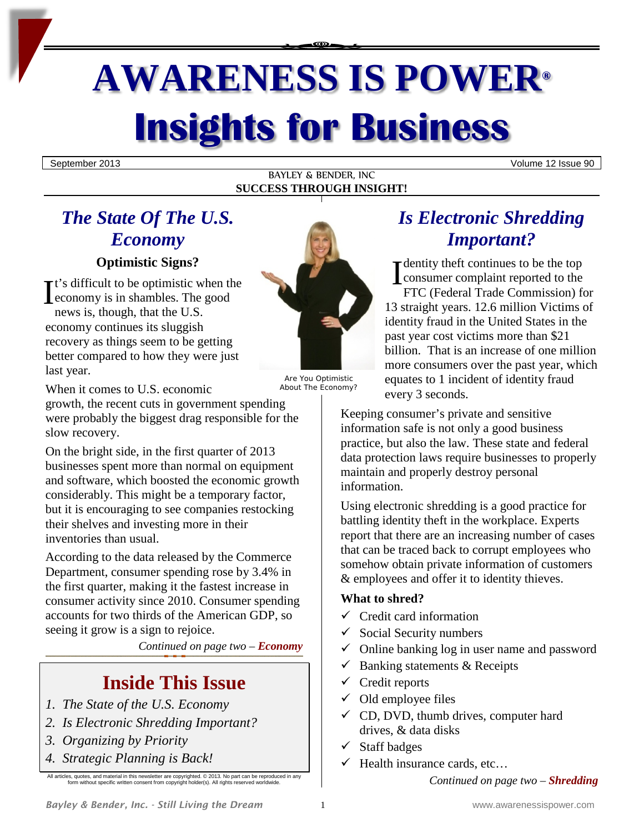# **AWARENESS IS POWER® Insights for Business**

September 2013 Volume 12 Issue 90

BAYLEY & BENDER, INC **SUCCESS THROUGH INSIGHT!**

# *The State Of The U.S. Economy*

#### **Optimistic Signs?**

t's difficult to be optimistic when the economy is in shambles. The good news is, though, that the U.S. economy continues its sluggish recovery as things seem to be getting better compared to how they were just last year. Optimistic Signs?<br>
It's difficult to be optimistic when the<br>
economy is in shambles. The good<br>
and the U.S.

Are You Optimistic

When it comes to U.S. economic

growth, the recent cuts in government spending were probably the biggest drag responsible for the slow recovery.

On the bright side, in the first quarter of 2013 businesses spent more than normal on equipment and software, which boosted the economic growth considerably. This might be a temporary factor, but it is encouraging to see companies restocking their shelves and investing more in their inventories than usual.

According to the data released by the Commerce Department, consumer spending rose by 3.4% in the first quarter, making it the fastest increase in consumer activity since 2010. Consumer spending accounts for two thirds of the American GDP, so seeing it grow is a sign to rejoice.

*Continued on page two – Economy*

## **Inside This Issue**

- *1. The State of the U.S. Economy*
- *2. Is Electronic Shredding Important?*
- *3. Organizing by Priority*
- *4. Strategic Planning is Back!*

All articles, quotes, and material in this newsletter are copyrighted. © 2013. No part can be reproduced in a m without specific written consent from copyright holder(s). All rights reserved worldwide

## About The Economy?

*Is Electronic Shredding Important?*

dentity theft continues to be the top consumer complaint reported to the FTC (Federal Trade Commission) for 13 straight years. 12.6 million Victims of identity fraud in the United States in the past year cost victims more than \$21 billion. That is an increase of one million more consumers over the past year, which equates to 1 incident of identity fraud every 3 seconds.

Keeping consumer's private and sensitive information safe is not only a good business practice, but also the law. These state and federal data protection laws require businesses to properly maintain and properly destroy personal information.

Using electronic shredding is a good practice for battling identity theft in the workplace. Experts report that there are an increasing number of cases that can be traced back to corrupt employees who somehow obtain private information of customers & employees and offer it to identity thieves.

#### **What to shred?**

- $\checkmark$  Credit card information
- $\checkmark$  Social Security numbers
- Online banking log in user name and password
- $\checkmark$  Banking statements & Receipts
- $\checkmark$  Credit reports
- $\checkmark$  Old employee files
- $\checkmark$  CD, DVD, thumb drives, computer hard drives, & data disks
- Staff badges
- Health insurance cards, etc…

*Continued on page two – Shredding*



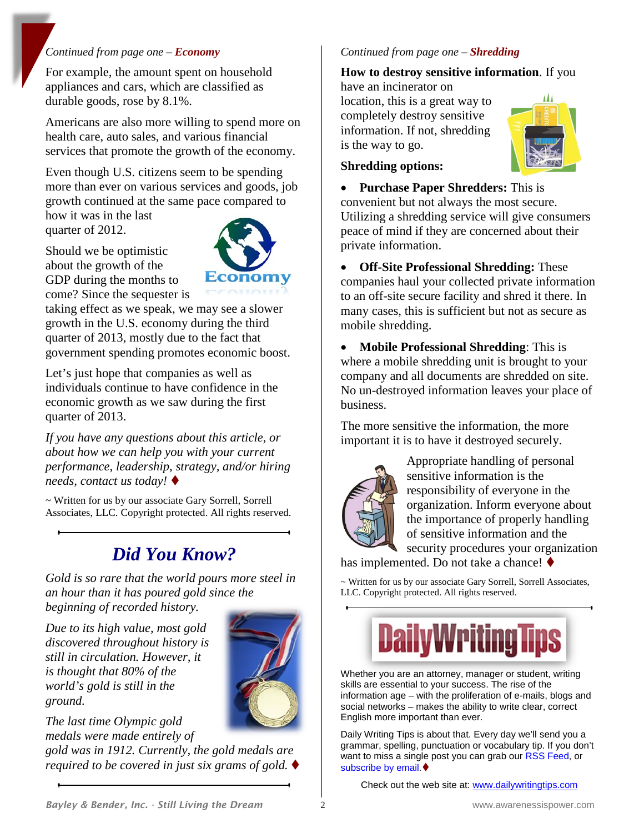#### *Continued from page one – Economy*

For example, the amount spent on household appliances and cars, which are classified as durable goods, rose by 8.1%.

Americans are also more willing to spend more on health care, auto sales, and various financial services that promote the growth of the economy.

Even though U.S. citizens seem to be spending more than ever on various services and goods, job growth continued at the same pace compared to

how it was in the last quarter of 2012.

Should we be optimistic about the growth of the GDP during the months to come? Since the sequester is



taking effect as we speak, we may see a slower growth in the U.S. economy during the third quarter of 2013, mostly due to the fact that government spending promotes economic boost.

Let's just hope that companies as well as individuals continue to have confidence in the economic growth as we saw during the first quarter of 2013.

*If you have any questions about this article, or about how we can help you with your current performance, leadership, strategy, and/or hiring needs, contact us today!*

~ Written for us by our associate Gary Sorrell, Sorrell Associates, LLC. Copyright protected. All rights reserved.

## *Did You Know?*

*Gold is so rare that the world pours more steel in an hour than it has poured gold since the beginning of recorded history.*

*Due to its high value, most gold discovered throughout history is still in circulation. However, it is thought that 80% of the world's gold is still in the ground.*



*The last time Olympic gold medals were made entirely of* 

*gold was in 1912. Currently, the gold medals are required to be covered in just six grams of gold.*

#### *Continued from page one – Shredding*

#### **How to destroy sensitive information**. If you

have an incinerator on location, this is a great way to completely destroy sensitive information. If not, shredding is the way to go.



#### **Shredding options:**

• **Purchase Paper Shredders:** This is convenient but not always the most secure. Utilizing a shredding service will give consumers peace of mind if they are concerned about their private information.

• **Off-Site Professional Shredding:** These companies haul your collected private information to an off-site secure facility and shred it there. In many cases, this is sufficient but not as secure as mobile shredding.

• **Mobile Professional Shredding**: This is where a mobile shredding unit is brought to your company and all documents are shredded on site. No un-destroyed information leaves your place of business.

The more sensitive the information, the more important it is to have it destroyed securely.



Appropriate handling of personal sensitive information is the responsibility of everyone in the organization. Inform everyone about the importance of properly handling of sensitive information and the security procedures your organization

has implemented. Do not take a chance!  $\blacklozenge$ 

~ Written for us by our associate Gary Sorrell, Sorrell Associates, LLC. Copyright protected. All rights reserved.



Wh[ether you are an attorney, manager or student, writing](http://www.dailywritingtips.com/)  skills are essential to your success. The rise of the information age – with the proliferation of e-mails, blogs and social networks – makes the ability to write clear, correct English more important than ever.

Daily Writing Tips is about that. Every day we'll send you a grammar, spelling, punctuation or vocabulary tip. If you don't want to miss a single post you can grab ou[r RSS Feed,](http://feeds.feedburner.com/DailyWritingTips) or [subscribe by email.](http://www.feedburner.com/fb/a/emailverifySubmit?feedId=924492&loc=en_US)

Check out the web site at: [www.dailywritingtips.com](http://www.dailywritingtips.com/)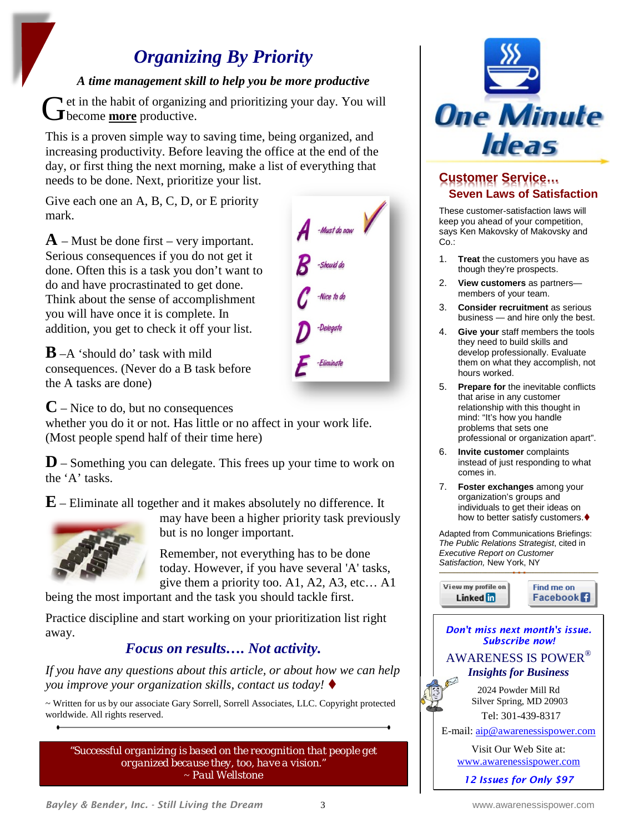## *Organizing By Priority*

#### *A time management skill to help you be more productive*

**T** et in the habit of organizing and prioritizing your day. You will Get in the habit of organizin<br> **G** become <u>more</u> productive.

This is a proven simple way to saving time, being organized, and increasing productivity. Before leaving the office at the end of the day, or first thing the next morning, make a list of everything that needs to be done. Next, prioritize your list.

Give each one an A, B, C, D, or E priority mark.

**A** – Must be done first – very important. Serious consequences if you do not get it done. Often this is a task you don't want to do and have procrastinated to get done. Think about the sense of accomplishment you will have once it is complete. In addition, you get to check it off your list.

**B** –A 'should do' task with mild consequences. (Never do a B task before the A tasks are done)

 $\overline{A}$  -Must do now

**C** – Nice to do, but no consequences

whether you do it or not. Has little or no affect in your work life. (Most people spend half of their time here)

**D** – Something you can delegate. This frees up your time to work on the 'A' tasks.

**E** – Eliminate all together and it makes absolutely no difference. It



may have been a higher priority task previously but is no longer important.

Remember, not everything has to be done today. However, if you have several 'A' tasks, give them a priority too. A1, A2, A3, etc… A1

being the most important and the task you should tackle first.

Practice discipline and start working on your prioritization list right away.

### *Focus on results…. Not activity.*

*If you have any questions about this article, or about how we can help you improve your organization skills, contact us today!*

~ Written for us by our associate Gary Sorrell, Sorrell Associates, LLC. Copyright protected worldwide. All rights reserved.

*"Successful organizing is based on the recognition that people get organized because they, too, have a vision."*  ~ *Paul Wellstone*



#### **Customer Service… Seven Laws of Satisfaction**

These customer-satisfaction laws will keep you ahead of your competition, says Ken Makovsky of Makovsky and Co.:

- 1. **Treat** the customers you have as though they're prospects.
- 2. **View customers** as partners members of your team.
- 3. **Consider recruitment** as serious business — and hire only the best.
- 4. **Give your** staff members the tools they need to build skills and develop professionally. Evaluate them on what they accomplish, not hours worked.
- 5. **Prepare for** the inevitable conflicts that arise in any customer relationship with this thought in mind: "It's how you handle problems that sets one professional or organization apart".
- 6. **Invite customer** complaints instead of just responding to what comes in.
- 7. **Foster exchanges** among your organization's groups and individuals to get their ideas on how to better satisfy customers.

Adapted from Communications Briefings: *The Public Relations Strategist*, cited in *Executive Report on Customer Satisfaction,* New York, NY

View my profile on Find me on Linked **in Facebook** 



*12 Issues for Only \$97*